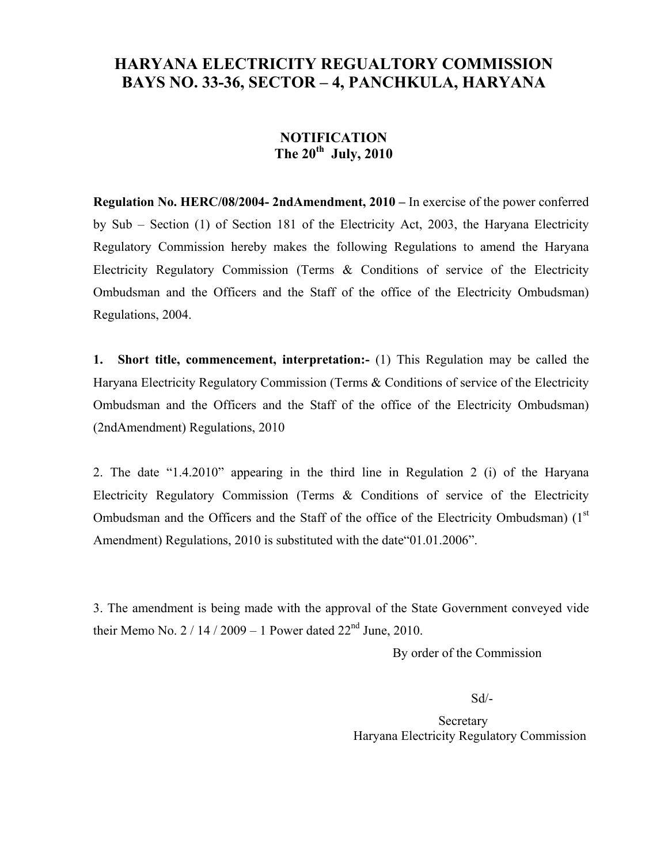## **HARYANA ELECTRICITY REGUALTORY COMMISSION BAYS NO. 33-36, SECTOR – 4, PANCHKULA, HARYANA**

## **NOTIFICATION The 20th July, 2010**

**Regulation No. HERC/08/2004- 2ndAmendment, 2010 –** In exercise of the power conferred by Sub – Section (1) of Section 181 of the Electricity Act, 2003, the Haryana Electricity Regulatory Commission hereby makes the following Regulations to amend the Haryana Electricity Regulatory Commission (Terms & Conditions of service of the Electricity Ombudsman and the Officers and the Staff of the office of the Electricity Ombudsman) Regulations, 2004.

**1. Short title, commencement, interpretation:-** (1) This Regulation may be called the Haryana Electricity Regulatory Commission (Terms & Conditions of service of the Electricity Ombudsman and the Officers and the Staff of the office of the Electricity Ombudsman) (2ndAmendment) Regulations, 2010

2. The date "1.4.2010" appearing in the third line in Regulation 2 (i) of the Haryana Electricity Regulatory Commission (Terms & Conditions of service of the Electricity Ombudsman and the Officers and the Staff of the office of the Electricity Ombudsman)  $(1<sup>st</sup>$ Amendment) Regulations, 2010 is substituted with the date"01.01.2006".

3. The amendment is being made with the approval of the State Government conveyed vide their Memo No.  $2/14/2009 - 1$  Power dated  $22<sup>nd</sup>$  June, 2010.

By order of the Commission

Sd/-

**Secretary** Haryana Electricity Regulatory Commission